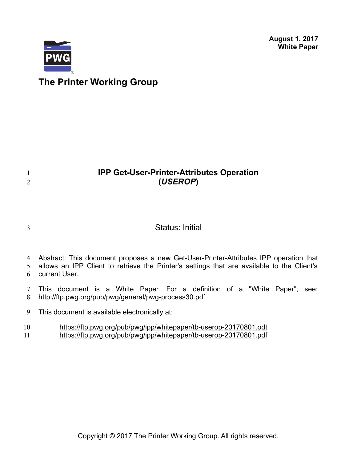**August 1, 2017 White Paper**



# **The Printer Working Group**

## **IPP Get-User-Printer-Attributes Operation (***USEROP***)**

## 3

1 2

## Status: Initial

4 Abstract: This document proposes a new Get-User-Printer-Attributes IPP operation that

allows an IPP Client to retrieve the Printer's settings that are available to the Client's current User. 5 6

This document is a White Paper. For a definition of a "White Paper", see: <http://ftp.pwg.org/pub/pwg/general/pwg-process30.pdf> 7 8

This document is available electronically at: 9

<https://ftp.pwg.org/pub/pwg/ipp/whitepaper/tb-userop-20170801.odt> 10

<https://ftp.pwg.org/pub/pwg/ipp/whitepaper/tb-userop-20170801.pdf> 11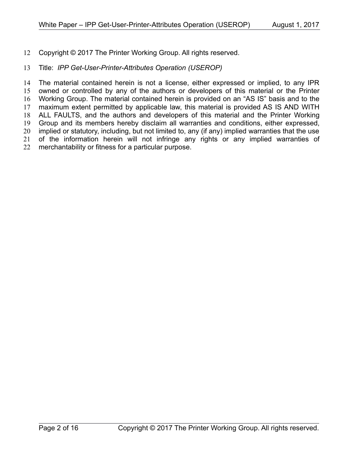Copyright © 2017 The Printer Working Group. All rights reserved. 12

#### Title: *IPP Get-User-Printer-Attributes Operation (USEROP)* 13

The material contained herein is not a license, either expressed or implied, to any IPR owned or controlled by any of the authors or developers of this material or the Printer Working Group. The material contained herein is provided on an "AS IS" basis and to the maximum extent permitted by applicable law, this material is provided AS IS AND WITH ALL FAULTS, and the authors and developers of this material and the Printer Working Group and its members hereby disclaim all warranties and conditions, either expressed, implied or statutory, including, but not limited to, any (if any) implied warranties that the use of the information herein will not infringe any rights or any implied warranties of merchantability or fitness for a particular purpose. 14 15 16 17 18 19 20 21 22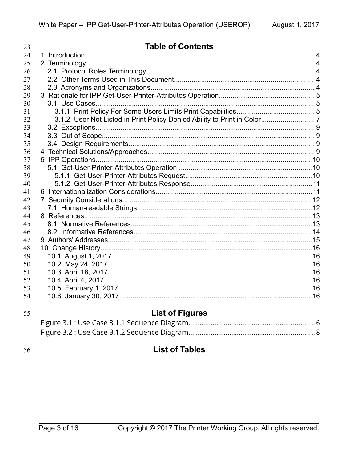| 23 | <b>Table of Contents</b>                                                |  |
|----|-------------------------------------------------------------------------|--|
| 24 |                                                                         |  |
| 25 |                                                                         |  |
| 26 |                                                                         |  |
| 27 |                                                                         |  |
| 28 |                                                                         |  |
| 29 |                                                                         |  |
| 30 |                                                                         |  |
| 31 |                                                                         |  |
| 32 | 3.1.2 User Not Listed in Print Policy Denied Ability to Print in Color7 |  |
| 33 |                                                                         |  |
| 34 |                                                                         |  |
| 35 |                                                                         |  |
| 36 |                                                                         |  |
| 37 |                                                                         |  |
| 38 |                                                                         |  |
| 39 |                                                                         |  |
| 40 |                                                                         |  |
| 41 |                                                                         |  |
| 42 |                                                                         |  |
| 43 |                                                                         |  |
| 44 |                                                                         |  |
| 45 |                                                                         |  |
| 46 |                                                                         |  |
| 47 |                                                                         |  |
| 48 |                                                                         |  |
| 49 |                                                                         |  |
| 50 |                                                                         |  |
| 51 |                                                                         |  |
| 52 |                                                                         |  |
| 53 |                                                                         |  |
| 54 |                                                                         |  |

| ×  | ×  |
|----|----|
|    |    |
|    |    |
|    |    |
| I  | I  |
| ۰. | ۰. |
| v  | v  |
| ×  | ×  |
|    |    |

# **List of Figures**

56

## **List of Tables**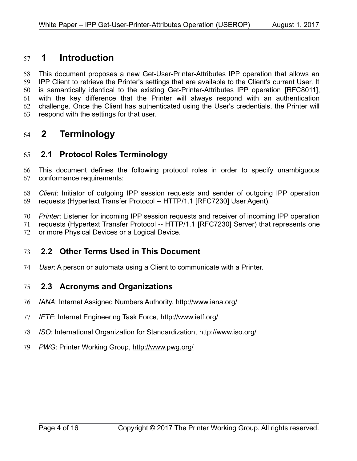## **1 Introduction** 57

This document proposes a new Get-User-Printer-Attributes IPP operation that allows an IPP Client to retrieve the Printer's settings that are available to the Client's current User. It is semantically identical to the existing Get-Printer-Attributes IPP operation IRFC80111. with the key difference that the Printer will always respond with an authentication challenge. Once the Client has authenticated using the User's credentials, the Printer will respond with the settings for that user. 58 59 60 61 62 63

## **2 Terminology** 64

## **2.1 Protocol Roles Terminology** 65

This document defines the following protocol roles in order to specify unambiguous conformance requirements: 66 67

*Client*: Initiator of outgoing IPP session requests and sender of outgoing IPP operation requests (Hypertext Transfer Protocol -- HTTP/1.1 [\[RFC7230\]](#page-12-0) User Agent). 68 69

*Printer*: Listener for incoming IPP session requests and receiver of incoming IPP operation 70

requests (Hypertext Transfer Protocol -- HTTP/1.1 [\[RFC7230\]](#page-12-0) Server) that represents one 71

or more Physical Devices or a Logical Device. 72

## **2.2 Other Terms Used in This Document** 73

User: A person or automata using a Client to communicate with a Printer. 74

## **2.3 Acronyms and Organizations** 75

- *IANA*: Internet Assigned Numbers Authority,<http://www.iana.org/> 76
- *IETF*: Internet Engineering Task Force,<http://www.ietf.org/> 77
- *ISO*: International Organization for Standardization,<http://www.iso.org/> 78
- 79 PWG: Printer Working Group,<http://www.pwg.org/>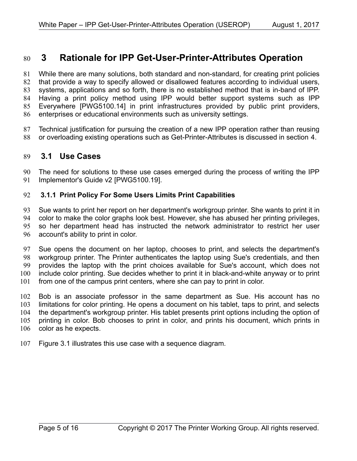## **3 Rationale for IPP Get-User-Printer-Attributes Operation** 80

While there are many solutions, both standard and non-standard, for creating print policies that provide a way to specify allowed or disallowed features according to individual users, systems, applications and so forth, there is no established method that is in-band of IPP. Having a print policy method using IPP would better support systems such as IPP Everywhere [\[PWG5100.14\]](#page-12-2) in print infrastructures provided by public print providers, enterprises or educational environments such as university settings. 81 82 83 84 85 86

Technical justification for pursuing the creation of a new IPP operation rather than reusing or overloading existing operations such as Get-Printer-Attributes is discussed in section [4.](#page-8-0) 87 88

## <span id="page-4-0"></span> **3.1 Use Cases** 89

The need for solutions to these use cases emerged during the process of writing the IPP Implementor's Guide v2 [\[PWG5100.19\].](#page-12-1) 90 91

#### **3.1.1 Print Policy For Some Users Limits Print Capabilities** 92

Sue wants to print her report on her department's workgroup printer. She wants to print it in color to make the color graphs look best. However, she has abused her printing privileges, so her department head has instructed the network administrator to restrict her user account's ability to print in color. 93 94 95 96

Sue opens the document on her laptop, chooses to print, and selects the department's workgroup printer. The Printer authenticates the laptop using Sue's credentials, and then provides the laptop with the print choices available for Sue's account, which does not include color printing. Sue decides whether to print it in black-and-white anyway or to print from one of the campus print centers, where she can pay to print in color. 97 98 99 100 101

Bob is an associate professor in the same department as Sue. His account has no limitations for color printing. He opens a document on his tablet, taps to print, and selects the department's workgroup printer. His tablet presents print options including the option of printing in color. Bob chooses to print in color, and prints his document, which prints in color as he expects. 102 103 104 105 106

Figure [3.1](#page-5-0) illustrates this use case with a sequence diagram. 107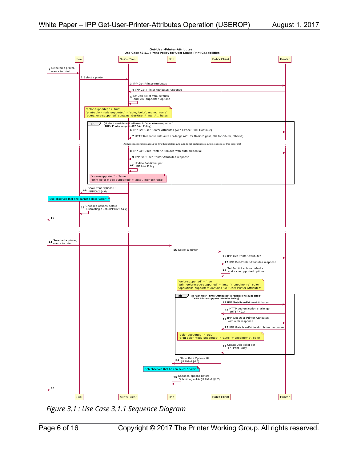

<span id="page-5-0"></span>*Figure 3.1 : Use Case 3.1.1 Sequence Diagram*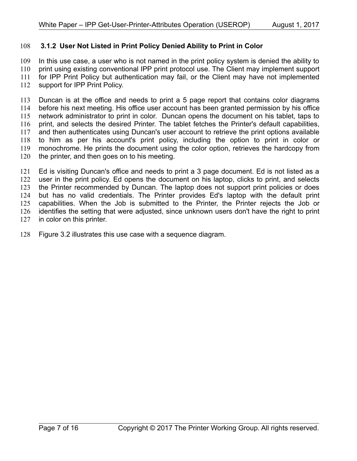#### **3.1.2 User Not Listed in Print Policy Denied Ability to Print in Color** 108

In this use case, a user who is not named in the print policy system is denied the ability to print using existing conventional IPP print protocol use. The Client may implement support for IPP Print Policy but authentication may fail, or the Client may have not implemented support for IPP Print Policy. 109 110 111 112

Duncan is at the office and needs to print a 5 page report that contains color diagrams before his next meeting. His office user account has been granted permission by his office network administrator to print in color. Duncan opens the document on his tablet, taps to print, and selects the desired Printer. The tablet fetches the Printer's default capabilities, and then authenticates using Duncan's user account to retrieve the print options available to him as per his account's print policy, including the option to print in color or monochrome. He prints the document using the color option, retrieves the hardcopy from the printer, and then goes on to his meeting. 113 114 115 116 117 118 119 120

Ed is visiting Duncan's office and needs to print a 3 page document. Ed is not listed as a user in the print policy. Ed opens the document on his laptop, clicks to print, and selects the Printer recommended by Duncan. The laptop does not support print policies or does but has no valid credentials. The Printer provides Ed's laptop with the default print capabilities. When the Job is submitted to the Printer, the Printer rejects the Job or identifies the setting that were adjusted, since unknown users don't have the right to print in color on this printer. 121 122 123 124 125 126 127

Figure [3.2](#page-7-0) illustrates this use case with a sequence diagram. 128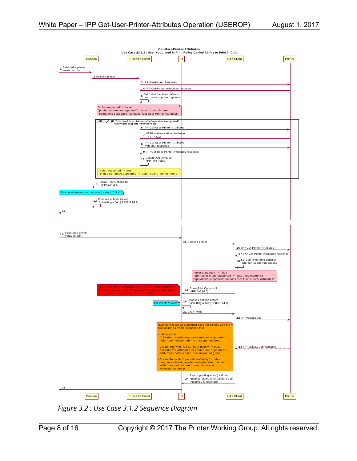

<span id="page-7-0"></span>*Figure 3.2 : Use Case 3.1.2 Sequence Diagram*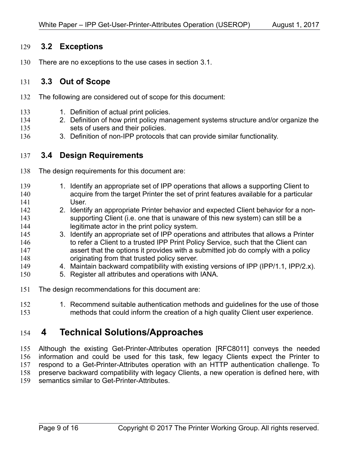### **3.2 Exceptions** 129

There are no exceptions to the use cases in section [3.1.](#page-4-0) 130

### **3.3 Out of Scope** 131

- The following are considered out of scope for this document: 132
- 1. Definition of actual print policies. 133
- 2. Definition of how print policy management systems structure and/or organize the sets of users and their policies. 134 135
- 3. Definition of non-IPP protocols that can provide similar functionality. 136

### **3.4 Design Requirements** 137

- The design requirements for this document are: 138
- 1. Identify an appropriate set of IPP operations that allows a supporting Client to acquire from the target Printer the set of print features available for a particular User. 139 140 141
- 2. Identify an appropriate Printer behavior and expected Client behavior for a nonsupporting Client (i.e. one that is unaware of this new system) can still be a legitimate actor in the print policy system. 142 143 144
- 3. Identify an appropriate set of IPP operations and attributes that allows a Printer to refer a Client to a trusted IPP Print Policy Service, such that the Client can assert that the options it provides with a submitted job do comply with a policy originating from that trusted policy server. 145 146 147 148
- 4. Maintain backward compatibility with existing versions of IPP (IPP/1.1, IPP/2.x). 149
- 5. Register all attributes and operations with IANA. 150
- The design recommendations for this document are: 151
- 1. Recommend suitable authentication methods and guidelines for the use of those methods that could inform the creation of a high quality Client user experience. 152 153

## <span id="page-8-0"></span> **4 Technical Solutions/Approaches** 154

Although the existing Get-Printer-Attributes operation [\[RFC8011\]](#page-13-0) conveys the needed information and could be used for this task, few legacy Clients expect the Printer to respond to a Get-Printer-Attributes operation with an HTTP authentication challenge. To preserve backward compatibility with legacy Clients, a new operation is defined here, with semantics similar to Get-Printer-Attributes. 155 156 157 158 159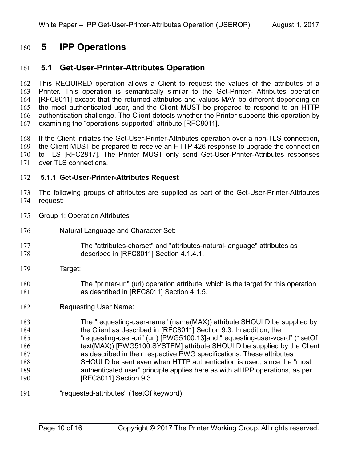## **5 IPP Operations** 160

## **5.1 Get-User-Printer-Attributes Operation** 161

This REQUIRED operation allows a Client to request the values of the attributes of a Printer. This operation is semantically similar to the Get-Printer- Attributes operation [\[RFC8011\]](#page-13-0) except that the returned attributes and values MAY be different depending on the most authenticated user, and the Client MUST be prepared to respond to an HTTP authentication challenge. The Client detects whether the Printer supports this operation by examining the "operations-supported" attribute [\[RFC8011\].](#page-13-0) 162 163 164 165 166 167

If the Client initiates the Get-User-Printer-Attributes operation over a non-TLS connection, the Client MUST be prepared to receive an HTTP 426 response to upgrade the connection to TLS [\[RFC2817\].](#page-12-5) The Printer MUST only send Get-User-Printer-Attributes responses over TLS connections. 168 169 170 171

#### **5.1.1 Get-User-Printer-Attributes Request** 172

The following groups of attributes are supplied as part of the Get-User-Printer-Attributes request: 173 174

- Group 1: Operation Attributes 175
- Natural Language and Character Set: 176
- The "attributes-charset" and "attributes-natural-language" attributes as described in [\[RFC8011\]](#page-13-0) Section 4.1.4.1. 177 178
- Target: 179

#### The "printer-uri" (uri) operation attribute, which is the target for this operation as described in [\[RFC8011\]](#page-13-0) Section 4.1.5. 180 181

Requesting User Name: 182

The "requesting-user-name" (name(MAX)) attribute SHOULD be supplied by the Client as described in [\[RFC8011\]](#page-13-0) Section 9.3. In addition, the "requesting-user-uri" (uri) [\[PWG5100.13\]a](#page-12-4)nd "requesting-user-vcard" (1setOf text(MAX)) [\[PWG5100.SYSTEM\]](#page-12-3) attribute SHOULD be supplied by the Client as described in their respective PWG specifications. These attributes SHOULD be sent even when HTTP authentication is used, since the "most authenticated user" principle applies here as with all IPP operations, as pe[r](#page-13-0) [\[RFC8011\]](#page-13-0) Section 9.3. 183 184 185 186 187 188 189 190

"requested-attributes" (1setOf keyword): 191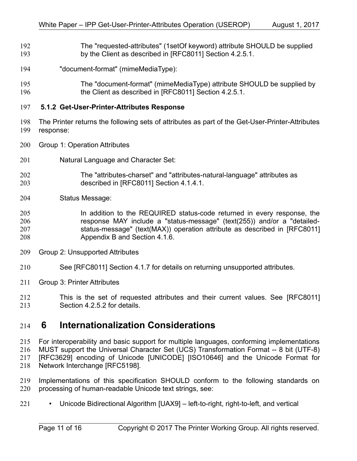- The "requested-attributes" (1setOf keyword) attribute SHOULD be supplied by the Client as described in [\[RFC8011\]](#page-13-0) Section 4.2.5.1. 192 193
- "document-format" (mimeMediaType): 194
- The "document-format" (mimeMediaType) attribute SHOULD be supplied by the Client as described in [\[RFC8011\]](#page-13-0) Section 4.2.5.1. 195 196

#### **5.1.2 Get-User-Printer-Attributes Response** 197

- The Printer returns the following sets of attributes as part of the Get-User-Printer-Attributes response: 198 199
- Group 1: Operation Attributes 200
- Natural Language and Character Set: 201
- The "attributes-charset" and "attributes-natural-language" attributes as described in [\[RFC8011\]](#page-13-0) Section 4.1.4.1. 202 203
- Status Message: 204

In addition to the REQUIRED status-code returned in every response, the response MAY include a "status-message" (text(255)) and/or a "detailedstatus-message" (text(MAX)) operation attribute as described in [\[RFC8011\]](#page-13-0) Appendix B and Section 4.1.6. 205 206 207 208

- Group 2: Unsupported Attributes 209
- See [\[RFC8011\]](#page-13-0) Section 4.1.7 for details on returning unsupported attributes. 210
- Group 3: Printer Attributes 211
- This is the set of requested attributes and their current values. See [\[RFC8011\]](#page-13-0) Section 4.2.5.2 for details. 212 213

## **6 Internationalization Considerations** 214

- For interoperability and basic support for multiple languages, conforming implementations MUST support the Universal Character Set (UCS) Transformation Format -- 8 bit (UTF-8) [\[RFC3629\]](#page-12-8) encoding of Unicode [\[UNICODE\]](#page-13-2) [\[ISO10646\]](#page-12-7) and the Unicode Format for Network Interchange [\[RFC5198\].](#page-12-6) 215 216 217 218
- Implementations of this specification SHOULD conform to the following standards on processing of human-readable Unicode text strings, see: 219 220
- Unicode Bidirectional Algorithm [\[UAX9\]](#page-13-1)  left-to-right, right-to-left, and vertical 221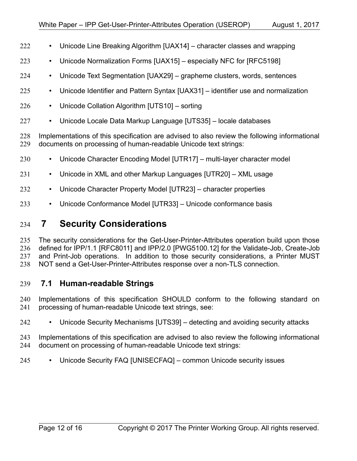- Unicode Line Breaking Algorithm [\[UAX14\]](#page-13-14)  character classes and wrapping 222
- Unicode Normalization Forms [\[UAX15\]](#page-13-13)  especially NFC for [\[RFC5198\]](#page-12-6) 223
- Unicode Text Segmentation [\[UAX29\]](#page-13-12)  grapheme clusters, words, sentences 224
- Unicode Identifier and Pattern Syntax [\[UAX31\]](#page-13-11)  identifier use and normalization 225
- Unicode Collation Algorithm [\[UTS10\]](#page-13-10)  sorting 226
- Unicode Locale Data Markup Language [\[UTS35\]](#page-13-9)  locale databases 227

Implementations of this specification are advised to also review the following informational documents on processing of human-readable Unicode text strings: 228 229

- Unicode Character Encoding Model [\[UTR17\]](#page-13-8)  multi-layer character model 230
- Unicode in XML and other Markup Languages [\[UTR20\]](#page-13-7)  XML usage 231
- Unicode Character Property Model [\[UTR23\]](#page-13-6)  character properties 232
- Unicode Conformance Model [\[UTR33\]](#page-13-5)  Unicode conformance basis 233

## **7 Security Considerations** 234

The security considerations for the Get-User-Printer-Attributes operation build upon those defined for IPP/1.1 [\[RFC8011\]](#page-13-0) and IPP/2.0 [\[PWG5100.12\]](#page-12-9) for the Validate-Job, Create-Job and Print-Job operations. In addition to those security considerations, a Printer MUST NOT send a Get-User-Printer-Attributes response over a non-TLS connection. 235 236 237 238

#### **7.1 Human-readable Strings**  239

Implementations of this specification SHOULD conform to the following standard on processing of human-readable Unicode text strings, see: 240 241

- Unicode Security Mechanisms [\[UTS39\]](#page-13-4)  detecting and avoiding security attacks 242
- Implementations of this specification are advised to also review the following informational document on processing of human-readable Unicode text strings: 243 244
- Unicode Security FAQ [\[UNISECFAQ\]](#page-13-3)  common Unicode security issues 245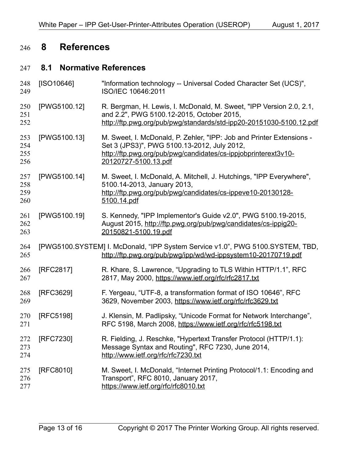## **8 References** 246

## **8.1 Normative References** 247

<span id="page-12-9"></span><span id="page-12-8"></span><span id="page-12-7"></span><span id="page-12-6"></span><span id="page-12-5"></span><span id="page-12-4"></span><span id="page-12-3"></span><span id="page-12-2"></span><span id="page-12-1"></span><span id="page-12-0"></span>

| 248<br>249               | [ SO10646]   | "Information technology -- Universal Coded Character Set (UCS)",<br>ISO/IEC 10646:2011                                                                                                                        |
|--------------------------|--------------|---------------------------------------------------------------------------------------------------------------------------------------------------------------------------------------------------------------|
| 250<br>251<br>252        | [PWG5100.12] | R. Bergman, H. Lewis, I. McDonald, M. Sweet, "IPP Version 2.0, 2.1,<br>and 2.2", PWG 5100.12-2015, October 2015,<br>http://ftp.pwg.org/pub/pwg/standards/std-ipp20-20151030-5100.12.pdf                       |
| 253<br>254<br>255<br>256 | [PWG5100.13] | M. Sweet, I. McDonald, P. Zehler, "IPP: Job and Printer Extensions -<br>Set 3 (JPS3)", PWG 5100.13-2012, July 2012,<br>http://ftp.pwg.org/pub/pwg/candidates/cs-ippjobprinterext3v10-<br>20120727-5100.13.pdf |
| 257<br>258<br>259<br>260 | [PWG5100.14] | M. Sweet, I. McDonald, A. Mitchell, J. Hutchings, "IPP Everywhere",<br>5100.14-2013, January 2013,<br>http://ftp.pwg.org/pub/pwg/candidates/cs-ippeve10-20130128-<br>5100.14.pdf                              |
| 261<br>262<br>263        | [PWG5100.19] | S. Kennedy, "IPP Implementor's Guide v2.0", PWG 5100.19-2015,<br>August 2015, http://ftp.pwg.org/pub/pwg/candidates/cs-ippig20-<br>20150821-5100.19.pdf                                                       |
| 264<br>265               |              | [PWG5100.SYSTEM] I. McDonald, "IPP System Service v1.0", PWG 5100.SYSTEM, TBD,<br>http://ftp.pwg.org/pub/pwg/ipp/wd/wd-ippsystem10-20170719.pdf                                                               |
| 266<br>267               | [RFC2817]    | R. Khare, S. Lawrence, "Upgrading to TLS Within HTTP/1.1", RFC<br>2817, May 2000, https://www.ietf.org/rfc/rfc2817.txt                                                                                        |
| 268<br>269               | [RFC3629]    | F. Yergeau, "UTF-8, a transformation format of ISO 10646", RFC<br>3629, November 2003, https://www.ietf.org/rfc/rfc3629.txt                                                                                   |
| 270<br>271               | [RFC5198]    | J. Klensin, M. Padlipsky, "Unicode Format for Network Interchange",<br>RFC 5198, March 2008, https://www.ietf.org/rfc/rfc5198.txt                                                                             |
| 272<br>273<br>274        | [RFC7230]    | R. Fielding, J. Reschke, "Hypertext Transfer Protocol (HTTP/1.1):<br>Message Syntax and Routing", RFC 7230, June 2014,<br>http://www.ietf.org/rfc/rfc7230.txt                                                 |
| 275<br>276<br>277        | [RFC8010]    | M. Sweet, I. McDonald, "Internet Printing Protocol/1.1: Encoding and<br>Transport", RFC 8010, January 2017,<br>https://www.ietf.org/rfc/rfc8010.txt                                                           |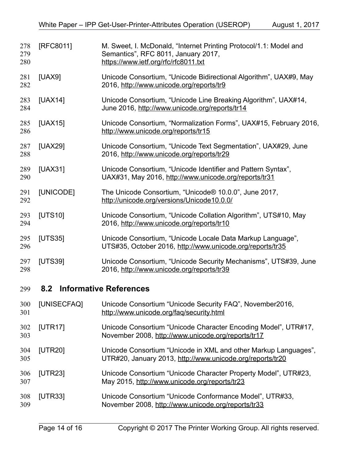<span id="page-13-14"></span><span id="page-13-13"></span><span id="page-13-12"></span><span id="page-13-11"></span><span id="page-13-10"></span><span id="page-13-2"></span><span id="page-13-1"></span><span id="page-13-0"></span>

| 278<br>279<br>280 | [RFC8011]                            | M. Sweet, I. McDonald, "Internet Printing Protocol/1.1: Model and<br>Semantics", RFC 8011, January 2017,<br>https://www.ietf.org/rfc/rfc8011.txt |  |
|-------------------|--------------------------------------|--------------------------------------------------------------------------------------------------------------------------------------------------|--|
| 281<br>282        | [UAX9]                               | Unicode Consortium, "Unicode Bidirectional Algorithm", UAX#9, May<br>2016, http://www.unicode.org/reports/tr9                                    |  |
| 283<br>284        | [UAX14]                              | Unicode Consortium, "Unicode Line Breaking Algorithm", UAX#14,<br>June 2016, http://www.unicode.org/reports/tr14                                 |  |
| 285<br>286        | [UAX15]                              | Unicode Consortium, "Normalization Forms", UAX#15, February 2016,<br>http://www.unicode.org/reports/tr15                                         |  |
| 287<br>288        | [UAX29]                              | Unicode Consortium, "Unicode Text Segmentation", UAX#29, June<br>2016, http://www.unicode.org/reports/tr29                                       |  |
| 289<br>290        | [UAX31]                              | Unicode Consortium, "Unicode Identifier and Pattern Syntax",<br>UAX#31, May 2016, http://www.unicode.org/reports/tr31                            |  |
| 291<br>292        | [UNICODE]                            | The Unicode Consortium, "Unicode® 10.0.0", June 2017,<br>http://unicode.org/versions/Unicode10.0.0/                                              |  |
| 293<br>294        | [UTS10]                              | Unicode Consortium, "Unicode Collation Algorithm", UTS#10, May<br>2016, http://www.unicode.org/reports/tr10                                      |  |
| 295<br>296        | [UTS35]                              | Unicode Consortium, "Unicode Locale Data Markup Language",<br>UTS#35, October 2016, http://www.unicode.org/reports/tr35                          |  |
| 297<br>298        | [UTS39]                              | Unicode Consortium, "Unicode Security Mechanisms", UTS#39, June<br>2016, http://www.unicode.org/reports/tr39                                     |  |
| 299               | <b>Informative References</b><br>8.2 |                                                                                                                                                  |  |
| 300<br>301        | [UNISECFAQ]                          | Unicode Consortium "Unicode Security FAQ", November2016,<br>http://www.unicode.org/fag/security.html                                             |  |
| 302<br>303        | <b>[UTR17]</b>                       | Unicode Consortium "Unicode Character Encoding Model", UTR#17,<br>November 2008, http://www.unicode.org/reports/tr17                             |  |
| 304<br>305        | [UTR20]                              | Unicode Consortium "Unicode in XML and other Markup Languages",<br>UTR#20, January 2013, http://www.unicode.org/reports/tr20                     |  |
| 306<br>307        | [UTR23]                              | Unicode Consortium "Unicode Character Property Model", UTR#23,<br>May 2015, http://www.unicode.org/reports/tr23                                  |  |

<span id="page-13-9"></span><span id="page-13-8"></span><span id="page-13-7"></span><span id="page-13-6"></span><span id="page-13-5"></span><span id="page-13-4"></span><span id="page-13-3"></span>[UTR33] Unicode Consortium "Unicode Conformance Model", UTR#33, November 2008,<http://www.unicode.org/reports/tr33> 308 309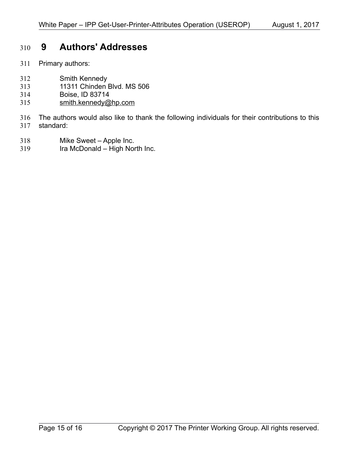## **9 Authors' Addresses** 310

- Primary authors: 311
- Smith Kennedy 312
- 11311 Chinden Blvd. MS 506 313
- Boise, ID 83714 314
- [smith.kennedy@hp.com](mailto:smith.kennedy@hp.com) 315
- The authors would also like to thank the following individuals for their contributions to this 316
- standard: 317
- Mike Sweet Apple Inc. 318
- Ira McDonald High North Inc. 319